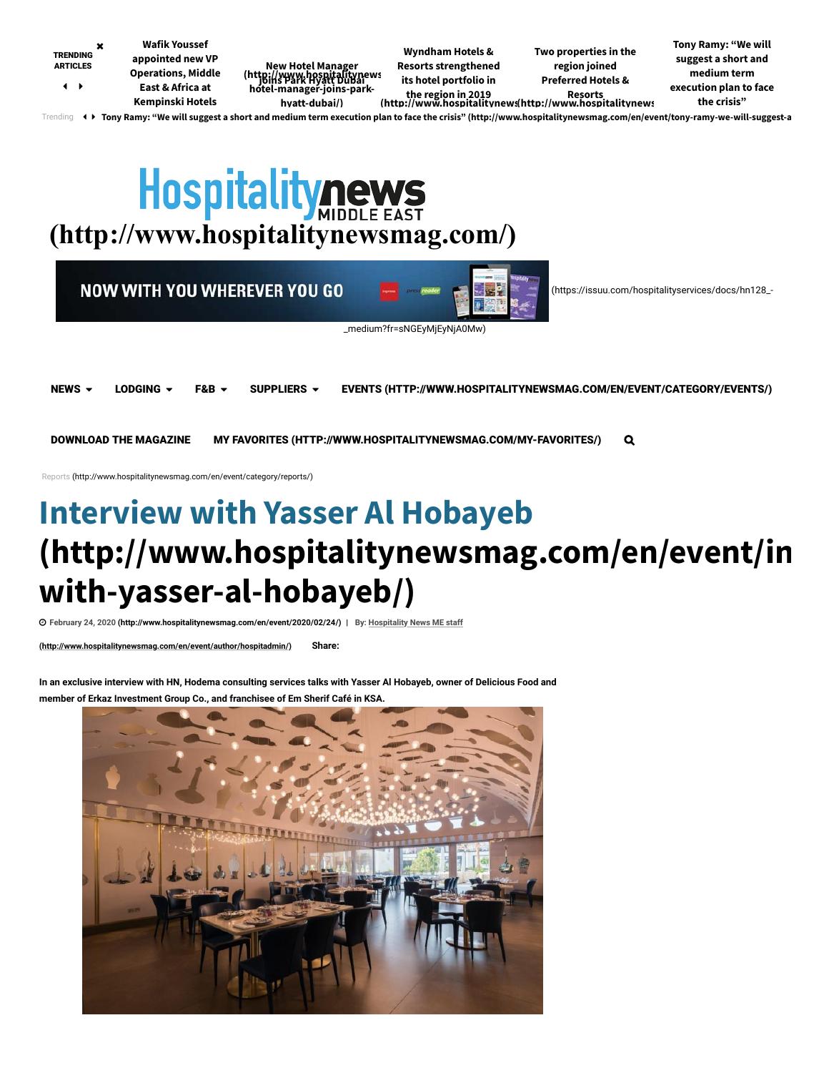<span id="page-0-1"></span><span id="page-0-0"></span>

DOWNLOAD THE MAGAZINE [MY FAVORITES \(HTTP://WWW.HOSPITALITYNEWSMAG.COM/MY-FAVORITES/\)](http://www.hospitalitynewsmag.com/my-favorites/)

[Reports \(http://www.hospitalitynewsmag.com/en/event/category/reports/\)](http://www.hospitalitynewsmag.com/en/event/category/reports/)

# **Interview with Yasser Al Hobayeb [\(http://www.hospitalitynewsmag.com/en/event/in](http://www.hospitalitynewsmag.com/en/event/interview-with-yasser-al-hobayeb/) with-yasser-al-hobayeb/)**

**[February 24, 2020 \(http://www.hospitalitynewsmag.com/en/event/2020/02/24/\)](http://www.hospitalitynewsmag.com/en/event/author/hospitadmin/) | By: Hospitality News ME staff**

**(http://www.hospitalitynewsmag.com/en/event/author/hospitadmin/) Share:** 

**In an exclusive interview with HN, Hodema consulting services talks with Yasser Al Hobayeb, owner of Delicious Food and member of Erkaz Investment Group Co., and franchisee of Em Sherif Café in KSA.** 

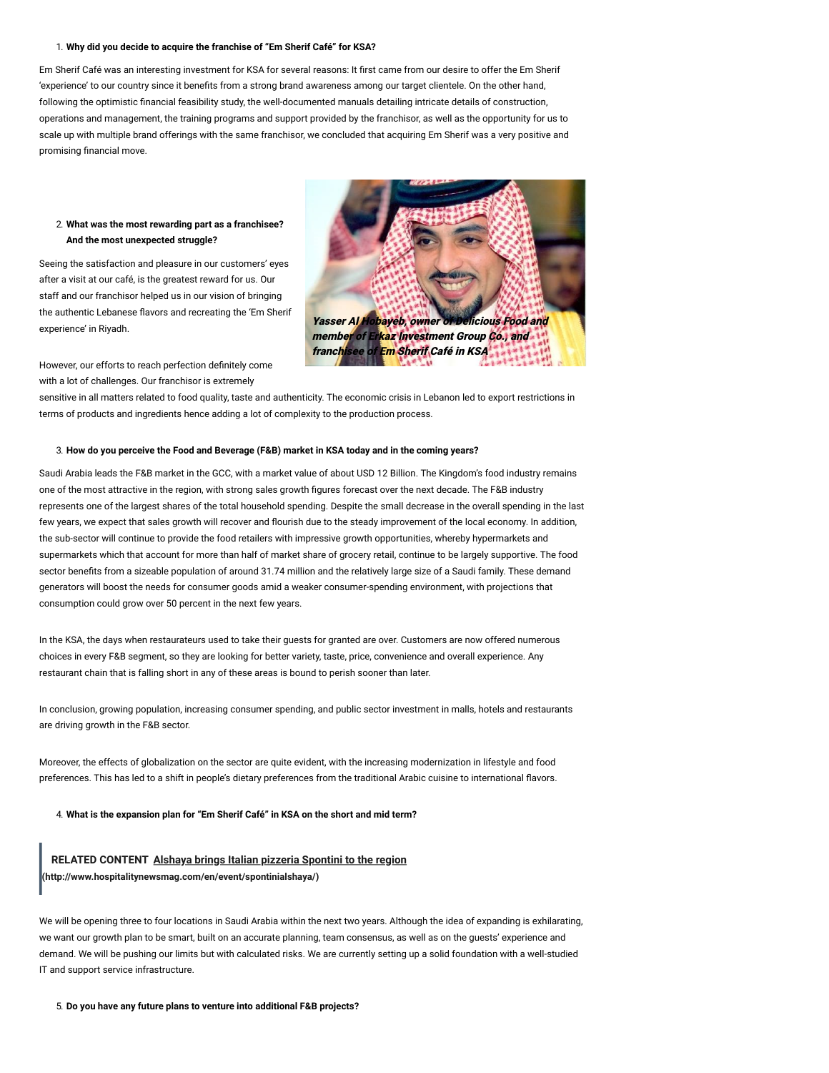#### 1. **Why did you decide to acquire the franchise of "Em Sherif Café" for KSA?**

Em Sherif Café was an interesting investment for KSA for several reasons: It first came from our desire to offer the Em Sherif 'experience' to our country since it benefits from a strong brand awareness among our target clientele. On the other hand, following the optimistic financial feasibility study, the well-documented manuals detailing intricate details of construction, operations and management, the training programs and support provided by the franchisor, as well as the opportunity for us to scale up with multiple brand offerings with the same franchisor, we concluded that acquiring Em Sherif was a very positive and promising financial move.

#### 2. **What was the most rewarding part as a franchisee? And the most unexpected struggle?**

Seeing the satisfaction and pleasure in our customers' eyes after a visit at our café, is the greatest reward for us. Our staff and our franchisor helped us in our vision of bringing the authentic Lebanese flavors and recreating the 'Em Sherif experience' in Riyadh.



However, our efforts to reach perfection definitely come with a lot of challenges. Our franchisor is extremely

sensitive in all matters related to food quality, taste and authenticity. The economic crisis in Lebanon led to export restrictions in terms of products and ingredients hence adding a lot of complexity to the production process.

#### 3. **How do you perceive the Food and Beverage (F&B) market in KSA today and in the coming years?**

Saudi Arabia leads the F&B market in the GCC, with a market value of about USD 12 Billion. The Kingdom's food industry remains one of the most attractive in the region, with strong sales growth figures forecast over the next decade. The F&B industry represents one of the largest shares of the total household spending. Despite the small decrease in the overall spending in the last few years, we expect that sales growth will recover and flourish due to the steady improvement of the local economy. In addition, the sub-sector will continue to provide the food retailers with impressive growth opportunities, whereby hypermarkets and supermarkets which that account for more than half of market share of grocery retail, continue to be largely supportive. The food sector benefits from a sizeable population of around 31.74 million and the relatively large size of a Saudi family. These demand generators will boost the needs for consumer goods amid a weaker consumer-spending environment, with projections that consumption could grow over 50 percent in the next few years.

In the KSA, the days when restaurateurs used to take their guests for granted are over. Customers are now offered numerous choices in every F&B segment, so they are looking for better variety, taste, price, convenience and overall experience. Any restaurant chain that is falling short in any of these areas is bound to perish sooner than later.

In conclusion, growing population, increasing consumer spending, and public sector investment in malls, hotels and restaurants are driving growth in the F&B sector.

Moreover, the effects of globalization on the sector are quite evident, with the increasing modernization in lifestyle and food preferences. This has led to a shift in people's dietary preferences from the traditional Arabic cuisine to international flavors.

4. **What is the expansion plan for "Em Sherif Café" in KSA on the short and mid term?**

# **RELATED CONTENT [Alshaya brings Italian pizzeria Spontini to the region](http://www.hospitalitynewsmag.com/en/event/spontinialshaya/) (http://www.hospitalitynewsmag.com/en/event/spontinialshaya/)**

We will be opening three to four locations in Saudi Arabia within the next two years. Although the idea of expanding is exhilarating, we want our growth plan to be smart, built on an accurate planning, team consensus, as well as on the guests' experience and demand. We will be pushing our limits but with calculated risks. We are currently setting up a solid foundation with a well-studied IT and support service infrastructure.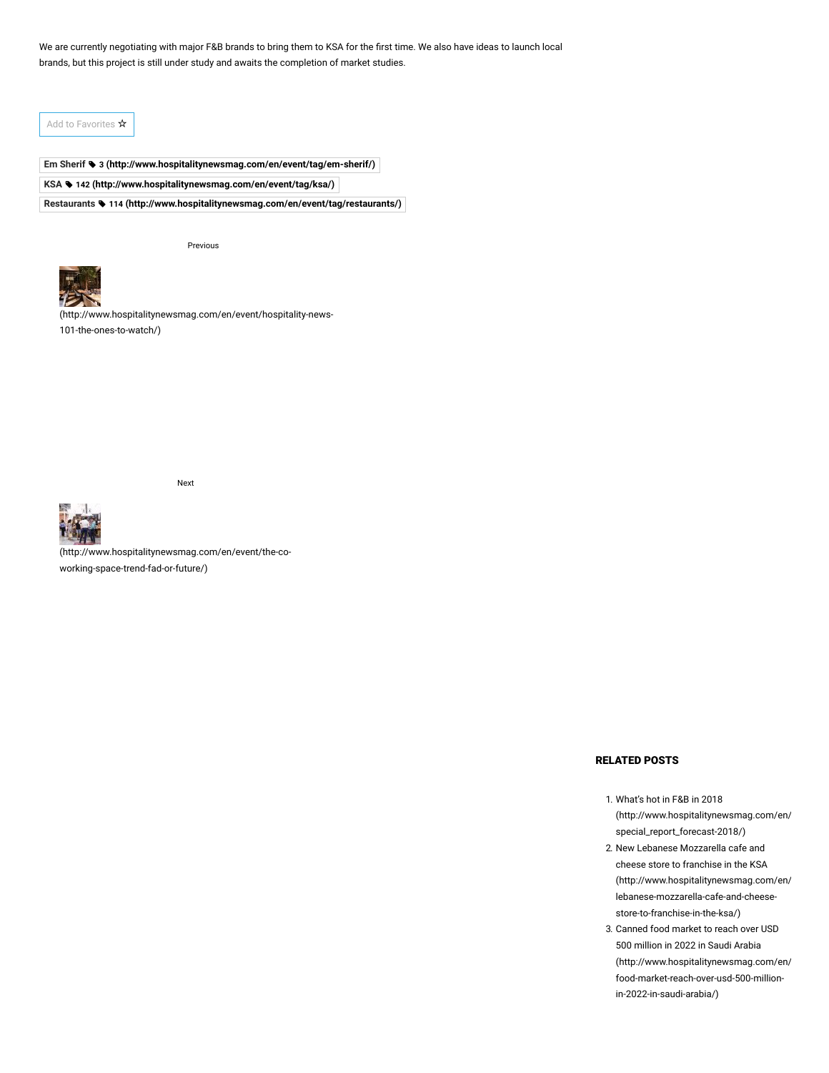We are currently negotiating with major F&B brands to bring them to KSA for the first time. We also have ideas to launch local brands, but this project is still under study and awaits the completion of market studies.

Add to Favorites ☆

**Em Sherif 3 [\(http://www.hospitalitynewsmag.com/en/event/tag/em-sherif/\)](http://www.hospitalitynewsmag.com/en/event/tag/em-sherif/) KSA 142 [\(http://www.hospitalitynewsmag.com/en/event/tag/ksa/\)](http://www.hospitalitynewsmag.com/en/event/tag/ksa/) Restaurants 114 [\(http://www.hospitalitynewsmag.com/en/event/tag/restaurants/\)](http://www.hospitalitynewsmag.com/en/event/tag/restaurants/)**

Previous



[\(http://www.hospitalitynewsmag.com/en/event/hospitality-news-](http://www.hospitalitynewsmag.com/en/event/hospitality-news-101-the-ones-to-watch/)101-the-ones-to-watch/)





[\(http://www.hospitalitynewsmag.com/en/event/the-co](http://www.hospitalitynewsmag.com/en/event/the-co-working-space-trend-fad-or-future/)working-space-trend-fad-or-future/)

# RELATED POSTS

- 1. What's hot in F&B in 2018 [\(http://www.hospitalitynewsmag.com/en/](http://www.hospitalitynewsmag.com/en/event/hn-special_report_forecast-2018/) special\_report\_forecast-2018/)
- 2. New Lebanese Mozzarella cafe and cheese store to franchise in the KSA [\(http://www.hospitalitynewsmag.com/en/](http://www.hospitalitynewsmag.com/en/event/new-lebanese-mozzarella-cafe-and-cheese-store-to-franchise-in-the-ksa/) lebanese-mozzarella-cafe-and-cheesestore-to-franchise-in-the-ksa/)
- 3. Canned food market to reach over USD 500 million in 2022 in Saudi Arabia [\(http://www.hospitalitynewsmag.com/en/](http://www.hospitalitynewsmag.com/en/event/canned-food-market-reach-over-usd-500-million-in-2022-in-saudi-arabia/) food-market-reach-over-usd-500-millionin-2022-in-saudi-arabia/)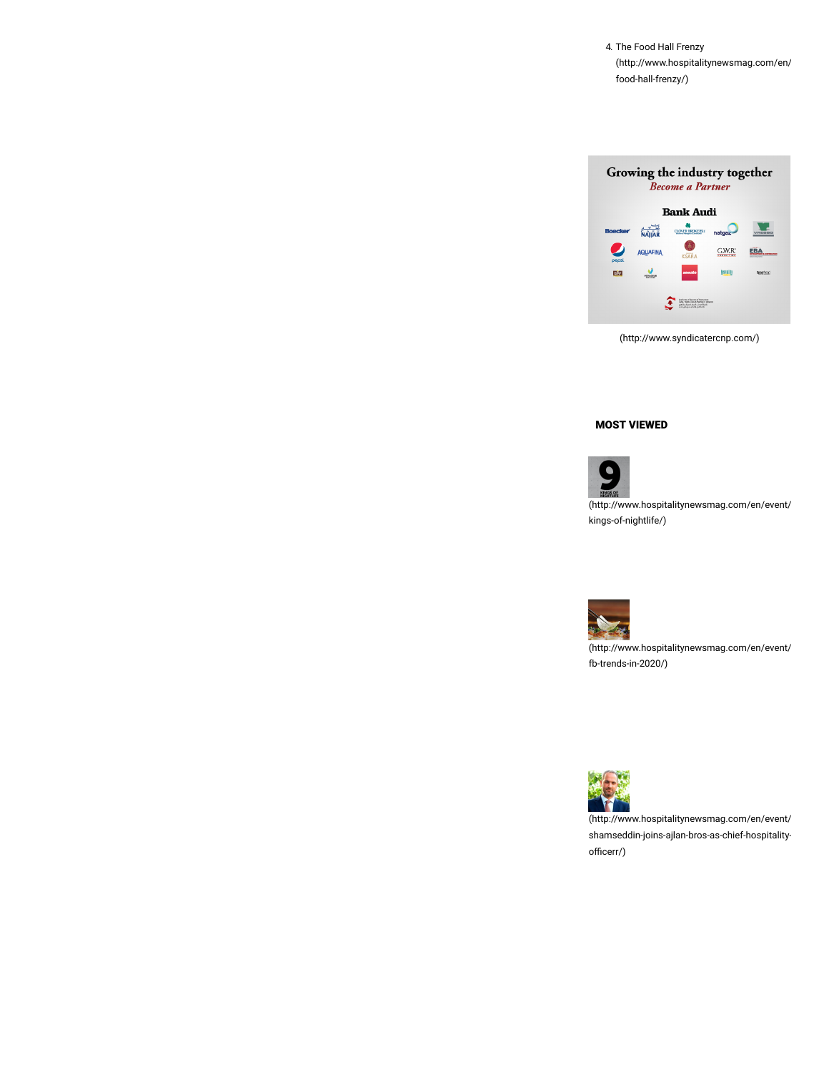4. The Food Hall Frenzy [\(http://www.hospitalitynewsmag.com/en/](http://www.hospitalitynewsmag.com/en/event/the-food-hall-frenzy/) food-hall-frenzy/)



[\(http://www.syndicatercnp.com/\)](http://www.syndicatercnp.com/)

# MOST VIEWED

**CONGER** [\(http://www.hospitalitynewsmag.com/en/event/](http://www.hospitalitynewsmag.com/en/event/9-kings-of-nightlife/) kings-of-nightlife/)



[\(http://www.hospitalitynewsmag.com/en/event/](http://www.hospitalitynewsmag.com/en/event/11-fb-trends-in-2020/) fb-trends-in-2020/)



[\(http://www.hospitalitynewsmag.com/en/event/](http://www.hospitalitynewsmag.com/en/event/jad-shamseddin-joins-ajlan-bros-as-chief-hospitality-officerr/) shamseddin-joins-ajlan-bros-as-chief-hospitalityofficerr/)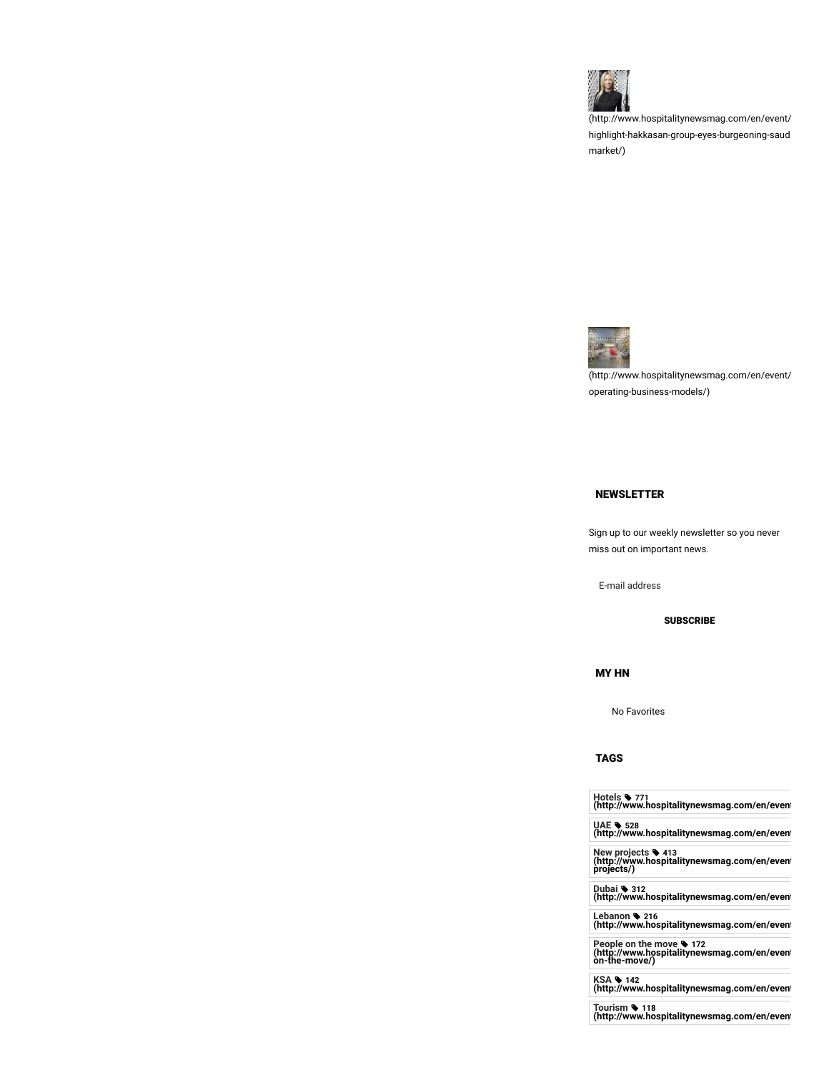

[\(http://www.hospitalitynewsmag.com/en/event/](http://www.hospitalitynewsmag.com/en/event/fb-highlight-hakkasan-group-eyes-burgeoning-saudi-market/) highlight-hakkasan-group-eyes-burgeoning-saud market/)



[\(http://www.hospitalitynewsmag.com/en/event/](http://www.hospitalitynewsmag.com/en/event/hotel-operating-business-models/) operating-business-models/)

## NEWSLETTER

Sign up to our weekly newsletter so you never miss out on important news.

E-mail address

**SUBSCRIBE** 

MY HN

No Favorites

## TAGS

| Hotels \ 771<br>(http://www.hospitalitynewsmag.com/en/even                      |
|---------------------------------------------------------------------------------|
| UAE • 528<br>(http://www.hospitalitynewsmag.com/en/even                         |
| New projects • 413<br>(http://www.hospitalitynewsmag.com/en/even/<br>projects/) |

**projects/)**

**Dubai 312 [\(http://www.hospitalitynewsmag.com/en/event](http://www.hospitalitynewsmag.com/en/event/tag/dubai/)**

**Lebanon 216 [\(http://www.hospitalitynewsmag.com/en/event](http://www.hospitalitynewsmag.com/en/event/tag/lebanon/)**

**People on the move 172 [\(http://www.hospitalitynewsmag.com/en/event](http://www.hospitalitynewsmag.com/en/event/tag/people-on-the-move/) on-the-move/)**

**KSA 142 [\(http://www.hospitalitynewsmag.com/en/event](http://www.hospitalitynewsmag.com/en/event/tag/ksa/)**

**Tourism 118 [\(http://www.hospitalitynewsmag.com/en/event](http://www.hospitalitynewsmag.com/en/event/tag/tourism/)**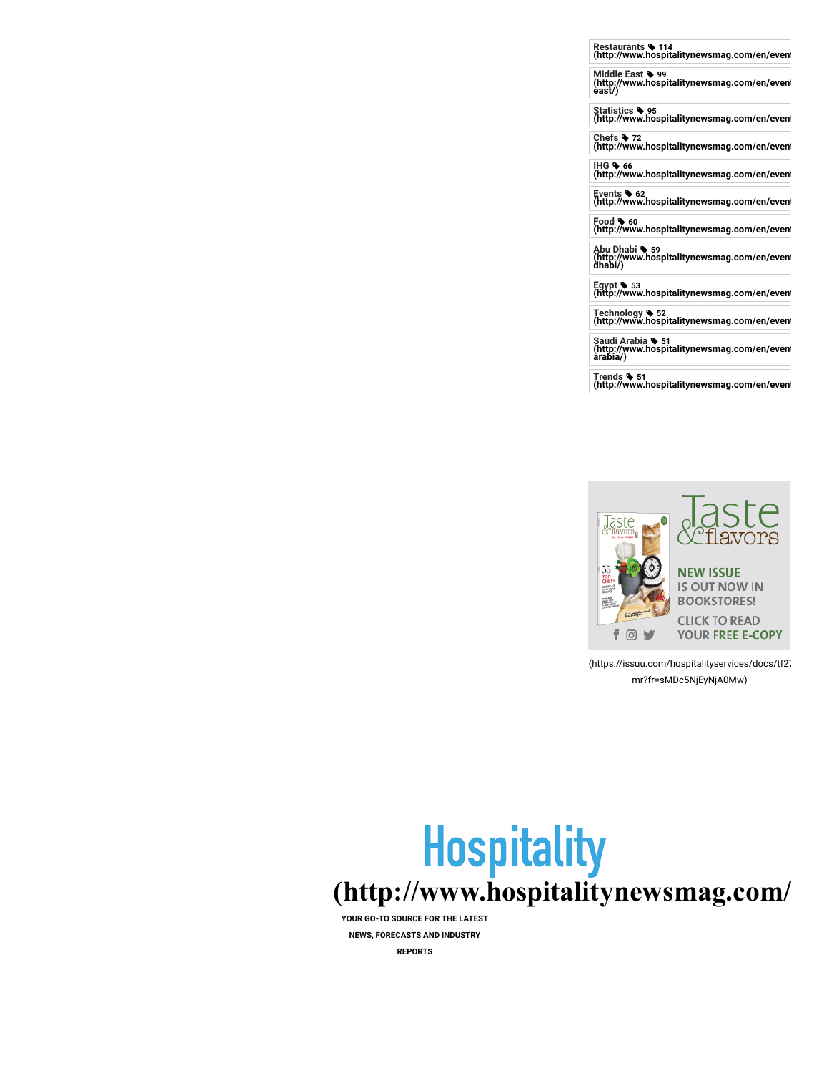**Restaurants 114 [\(http://www.hospitalitynewsmag.com/en/event](http://www.hospitalitynewsmag.com/en/event/tag/restaurants/)**

**Middle East 99 [\(http://www.hospitalitynewsmag.com/en/event](http://www.hospitalitynewsmag.com/en/event/tag/middle-east/) east/)**

**Statistics 95 [\(http://www.hospitalitynewsmag.com/en/event](http://www.hospitalitynewsmag.com/en/event/tag/statistics/)**

**Chefs 72 [\(http://www.hospitalitynewsmag.com/en/event](http://www.hospitalitynewsmag.com/en/event/tag/chefs/)**

**IHG 66 [\(http://www.hospitalitynewsmag.com/en/event](http://www.hospitalitynewsmag.com/en/event/tag/ihg/)**

**Events 62 [\(http://www.hospitalitynewsmag.com/en/event](http://www.hospitalitynewsmag.com/en/event/tag/events/)**

**Food 60 [\(http://www.hospitalitynewsmag.com/en/event](http://www.hospitalitynewsmag.com/en/event/tag/food/)**

**Abu Dhabi 59 [\(http://www.hospitalitynewsmag.com/en/event](http://www.hospitalitynewsmag.com/en/event/tag/abu-dhabi/) dhabi/)**

**Egypt 53 [\(http://www.hospitalitynewsmag.com/en/event](http://www.hospitalitynewsmag.com/en/event/tag/egypt/)**

**Technology 52 [\(http://www.hospitalitynewsmag.com/en/event](http://www.hospitalitynewsmag.com/en/event/tag/technology/)**

**Saudi Arabia 51 [\(http://www.hospitalitynewsmag.com/en/event](http://www.hospitalitynewsmag.com/en/event/tag/saudi-arabia/) arabia/)**

**Trends 51 [\(http://www.hospitalitynewsmag.com/en/event](http://www.hospitalitynewsmag.com/en/event/tag/trends/)**



[\(https://issuu.com/hospitalityservices/docs/tf27](https://issuu.com/hospitalityservices/docs/tf27-mr?fr=sMDc5NjEyNjA0Mw) mr?fr=sMDc5NjEyNjA0Mw)

# **Hospitality [\(http://www.hospitalitynewsmag.com/](http://www.hospitalitynewsmag.com/)**

**YOUR GO-TO SOURCE FOR THE LATEST NEWS, FORECASTS AND INDUSTRY REPORTS**